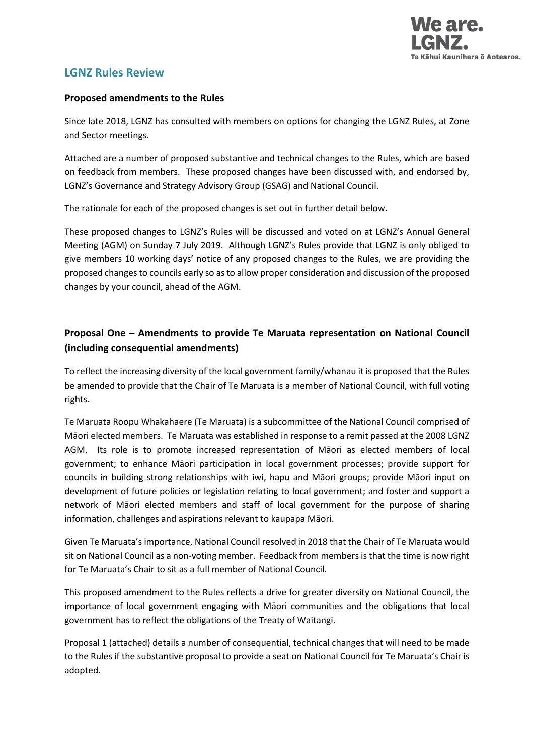

# **LGNZ Rules Review**

#### **Proposed amendments to the Rules**

Since late 2018, LGNZ has consulted with members on options for changing the LGNZ Rules, at Zone and Sector meetings.

Attached are a number of proposed substantive and technical changes to the Rules, which are based on feedback from members. These proposed changes have been discussed with, and endorsed by, LGNZ's Governance and Strategy Advisory Group (GSAG) and National Council.

The rationale for each of the proposed changes is set out in further detail below.

These proposed changes to LGNZ's Rules will be discussed and voted on at LGNZ's Annual General Meeting (AGM) on Sunday 7 July 2019. Although LGNZ's Rules provide that LGNZ is only obliged to give members 10 working days' notice of any proposed changes to the Rules, we are providing the proposed changes to councils early so as to allow proper consideration and discussion of the proposed changes by your council, ahead of the AGM.

## **Proposal One – Amendments to provide Te Maruata representation on National Council (including consequential amendments)**

To reflect the increasing diversity of the local government family/whanau it is proposed that the Rules be amended to provide that the Chair of Te Maruata is a member of National Council, with full voting rights.

Te Maruata Roopu Whakahaere (Te Maruata) is a subcommittee of the National Council comprised of Māori elected members. Te Maruata was established in response to a remit passed at the 2008 LGNZ AGM. Its role is to promote increased representation of Māori as elected members of local government; to enhance Māori participation in local government processes; provide support for councils in building strong relationships with iwi, hapu and Māori groups; provide Māori input on development of future policies or legislation relating to local government; and foster and support a network of Māori elected members and staff of local government for the purpose of sharing information, challenges and aspirations relevant to kaupapa Māori.

Given Te Maruata's importance, National Council resolved in 2018 that the Chair of Te Maruata would sit on National Council as a non-voting member. Feedback from members is that the time is now right for Te Maruata's Chair to sit as a full member of National Council.

This proposed amendment to the Rules reflects a drive for greater diversity on National Council, the importance of local government engaging with Māori communities and the obligations that local government has to reflect the obligations of the Treaty of Waitangi.

Proposal 1 (attached) details a number of consequential, technical changes that will need to be made to the Rules if the substantive proposal to provide a seat on National Council for Te Maruata's Chair is adopted.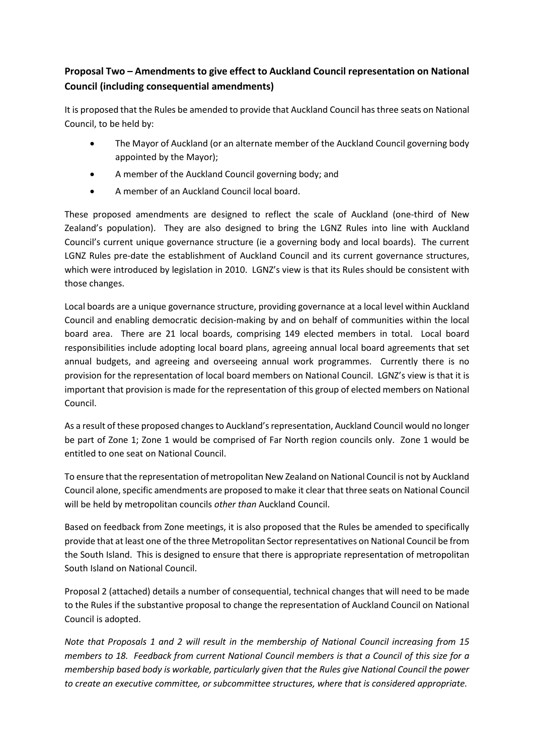# **Proposal Two – Amendments to give effect to Auckland Council representation on National Council (including consequential amendments)**

It is proposed that the Rules be amended to provide that Auckland Council has three seats on National Council, to be held by:

- The Mayor of Auckland (or an alternate member of the Auckland Council governing body appointed by the Mayor);
- A member of the Auckland Council governing body; and
- A member of an Auckland Council local board.

These proposed amendments are designed to reflect the scale of Auckland (one-third of New Zealand's population). They are also designed to bring the LGNZ Rules into line with Auckland Council's current unique governance structure (ie a governing body and local boards). The current LGNZ Rules pre-date the establishment of Auckland Council and its current governance structures, which were introduced by legislation in 2010. LGNZ's view is that its Rules should be consistent with those changes.

Local boards are a unique governance structure, providing governance at a local level within Auckland Council and enabling democratic decision-making by and on behalf of communities within the local board area. There are 21 local boards, comprising 149 elected members in total. Local board responsibilities include adopting local board plans, agreeing annual local board agreements that set annual budgets, and agreeing and overseeing annual work programmes. Currently there is no provision for the representation of local board members on National Council. LGNZ's view is that it is important that provision is made for the representation of this group of elected members on National Council.

As a result of these proposed changes to Auckland's representation, Auckland Council would no longer be part of Zone 1; Zone 1 would be comprised of Far North region councils only. Zone 1 would be entitled to one seat on National Council.

To ensure that the representation of metropolitan New Zealand on National Council is not by Auckland Council alone, specific amendments are proposed to make it clear that three seats on National Council will be held by metropolitan councils *other than* Auckland Council.

Based on feedback from Zone meetings, it is also proposed that the Rules be amended to specifically provide that at least one of the three Metropolitan Sector representatives on National Council be from the South Island. This is designed to ensure that there is appropriate representation of metropolitan South Island on National Council.

Proposal 2 (attached) details a number of consequential, technical changes that will need to be made to the Rules if the substantive proposal to change the representation of Auckland Council on National Council is adopted.

*Note that Proposals 1 and 2 will result in the membership of National Council increasing from 15 members to 18. Feedback from current National Council members is that a Council of this size for a membership based body is workable, particularly given that the Rules give National Council the power to create an executive committee, or subcommittee structures, where that is considered appropriate.*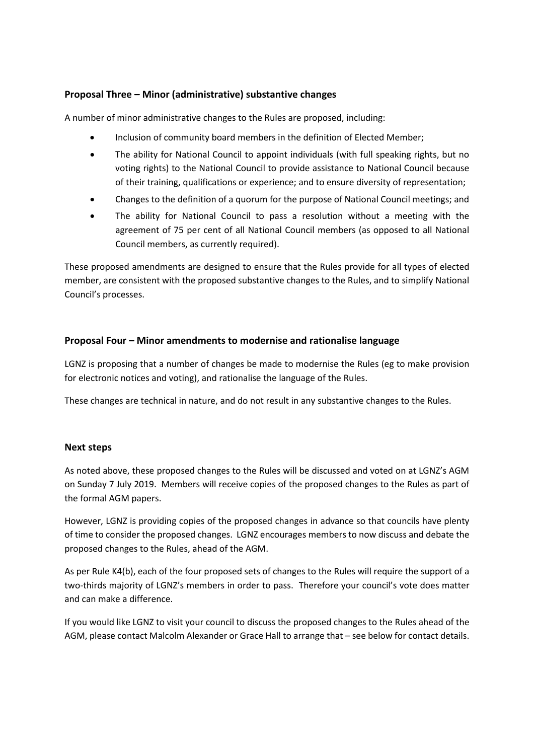## **Proposal Three – Minor (administrative) substantive changes**

A number of minor administrative changes to the Rules are proposed, including:

- Inclusion of community board members in the definition of Elected Member;
- The ability for National Council to appoint individuals (with full speaking rights, but no voting rights) to the National Council to provide assistance to National Council because of their training, qualifications or experience; and to ensure diversity of representation;
- Changes to the definition of a quorum for the purpose of National Council meetings; and
- The ability for National Council to pass a resolution without a meeting with the agreement of 75 per cent of all National Council members (as opposed to all National Council members, as currently required).

These proposed amendments are designed to ensure that the Rules provide for all types of elected member, are consistent with the proposed substantive changes to the Rules, and to simplify National Council's processes.

## **Proposal Four – Minor amendments to modernise and rationalise language**

LGNZ is proposing that a number of changes be made to modernise the Rules (eg to make provision for electronic notices and voting), and rationalise the language of the Rules.

These changes are technical in nature, and do not result in any substantive changes to the Rules.

## **Next steps**

As noted above, these proposed changes to the Rules will be discussed and voted on at LGNZ's AGM on Sunday 7 July 2019. Members will receive copies of the proposed changes to the Rules as part of the formal AGM papers.

However, LGNZ is providing copies of the proposed changes in advance so that councils have plenty of time to consider the proposed changes. LGNZ encourages members to now discuss and debate the proposed changes to the Rules, ahead of the AGM.

As per Rule K4(b), each of the four proposed sets of changes to the Rules will require the support of a two-thirds majority of LGNZ's members in order to pass. Therefore your council's vote does matter and can make a difference.

If you would like LGNZ to visit your council to discuss the proposed changes to the Rules ahead of the AGM, please contact Malcolm Alexander or Grace Hall to arrange that – see below for contact details.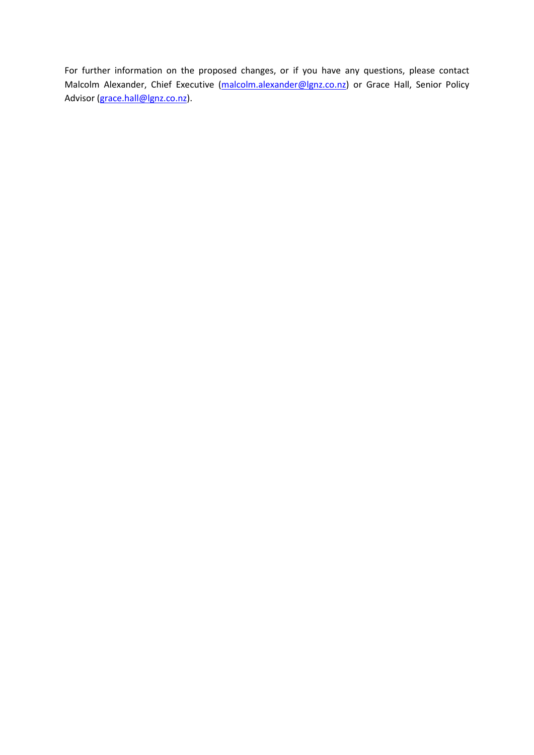For further information on the proposed changes, or if you have any questions, please contact Malcolm Alexander, Chief Executive [\(malcolm.alexander@lgnz.co.nz\)](mailto:malcolm.alexander@lgnz.co.nz) or Grace Hall, Senior Policy Advisor [\(grace.hall@lgnz.co.nz\)](mailto:grace.hall@lgnz.co.nz).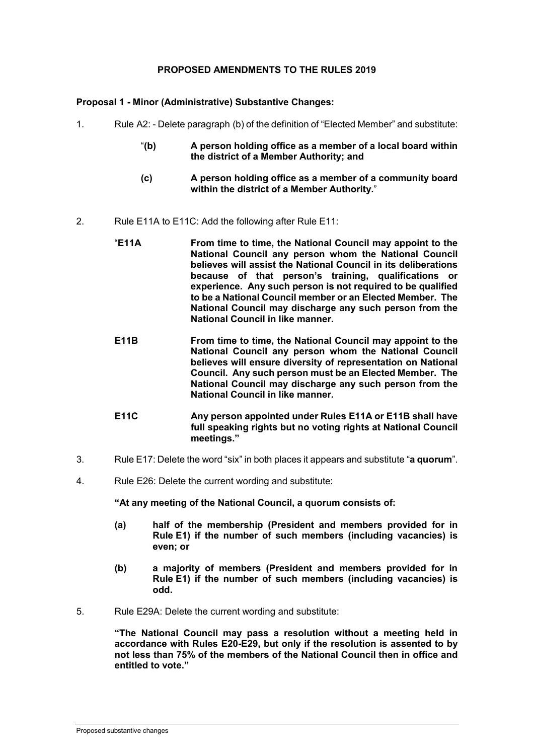#### **PROPOSED AMENDMENTS TO THE RULES 2019**

**Proposal 1 - Minor (Administrative) Substantive Changes:**

- 1. Rule A2: Delete paragraph (b) of the definition of "Elected Member" and substitute:
	- "**(b) A person holding office as a member of a local board within the district of a Member Authority; and**
	- **(c) A person holding office as a member of a community board within the district of a Member Authority.**"
- 2. Rule E11A to E11C: Add the following after Rule E11:
	- "**E11A From time to time, the National Council may appoint to the National Council any person whom the National Council believes will assist the National Council in its deliberations because of that person's training, qualifications or experience. Any such person is not required to be qualified to be a National Council member or an Elected Member. The National Council may discharge any such person from the National Council in like manner.**
	- **E11B From time to time, the National Council may appoint to the National Council any person whom the National Council believes will ensure diversity of representation on National Council. Any such person must be an Elected Member. The National Council may discharge any such person from the National Council in like manner.**
	- **E11C Any person appointed under Rules E11A or E11B shall have full speaking rights but no voting rights at National Council meetings."**
- 3. Rule E17: Delete the word "six" in both places it appears and substitute "**a quorum**".
- 4. Rule E26: Delete the current wording and substitute:

**"At any meeting of the National Council, a quorum consists of:**

- **(a) half of the membership (President and members provided for in Rule E1) if the number of such members (including vacancies) is even; or**
- **(b) a majority of members (President and members provided for in Rule E1) if the number of such members (including vacancies) is odd.**
- 5. Rule E29A: Delete the current wording and substitute:

**"The National Council may pass a resolution without a meeting held in accordance with Rules E20-E29, but only if the resolution is assented to by not less than 75% of the members of the National Council then in office and entitled to vote."**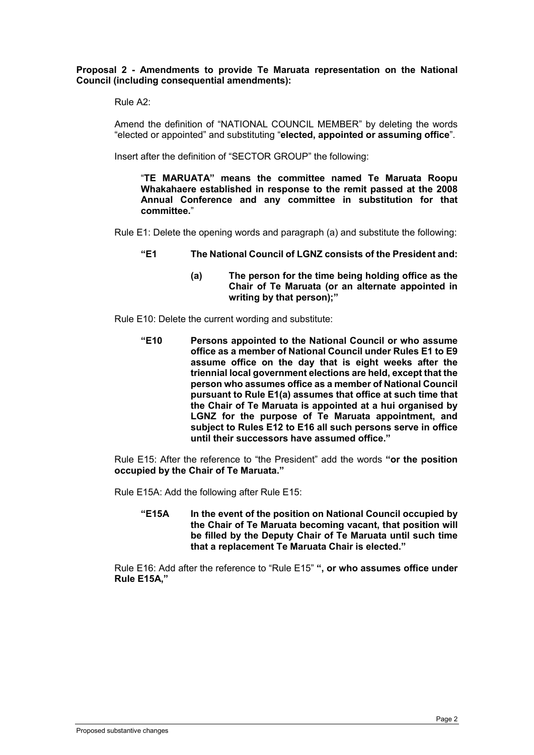**Proposal 2 - Amendments to provide Te Maruata representation on the National Council (including consequential amendments):**

Rule A2:

Amend the definition of "NATIONAL COUNCIL MEMBER" by deleting the words "elected or appointed" and substituting "**elected, appointed or assuming office**".

Insert after the definition of "SECTOR GROUP" the following:

"**TE MARUATA" means the committee named Te Maruata Roopu Whakahaere established in response to the remit passed at the 2008 Annual Conference and any committee in substitution for that committee.**"

Rule E1: Delete the opening words and paragraph (a) and substitute the following:

- **"E1 The National Council of LGNZ consists of the President and:**
	- **(a) The person for the time being holding office as the Chair of Te Maruata (or an alternate appointed in writing by that person);"**

Rule E10: Delete the current wording and substitute:

**"E10 Persons appointed to the National Council or who assume office as a member of National Council under Rules E1 to E9 assume office on the day that is eight weeks after the triennial local government elections are held, except that the person who assumes office as a member of National Council pursuant to Rule E1(a) assumes that office at such time that the Chair of Te Maruata is appointed at a hui organised by LGNZ for the purpose of Te Maruata appointment, and subject to Rules E12 to E16 all such persons serve in office until their successors have assumed office."**

Rule E15: After the reference to "the President" add the words **"or the position occupied by the Chair of Te Maruata."**

Rule E15A: Add the following after Rule E15:

**"E15A In the event of the position on National Council occupied by the Chair of Te Maruata becoming vacant, that position will be filled by the Deputy Chair of Te Maruata until such time that a replacement Te Maruata Chair is elected."**

Rule E16: Add after the reference to "Rule E15" **", or who assumes office under Rule E15A,"**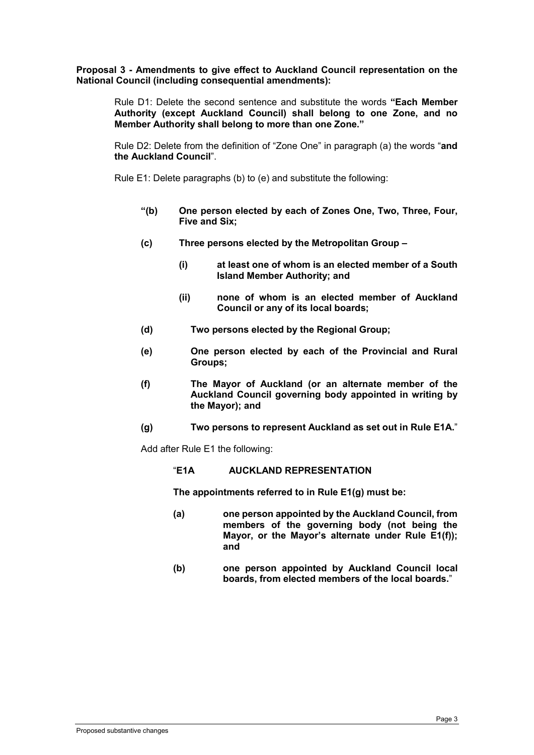**Proposal 3 - Amendments to give effect to Auckland Council representation on the National Council (including consequential amendments):**

Rule D1: Delete the second sentence and substitute the words **"Each Member Authority (except Auckland Council) shall belong to one Zone, and no Member Authority shall belong to more than one Zone."**

Rule D2: Delete from the definition of "Zone One" in paragraph (a) the words "**and the Auckland Council**".

Rule E1: Delete paragraphs (b) to (e) and substitute the following:

- **"(b) One person elected by each of Zones One, Two, Three, Four, Five and Six;**
- **(c) Three persons elected by the Metropolitan Group –**
	- **(i) at least one of whom is an elected member of a South Island Member Authority; and**
	- **(ii) none of whom is an elected member of Auckland Council or any of its local boards;**
- **(d) Two persons elected by the Regional Group;**
- **(e) One person elected by each of the Provincial and Rural Groups;**
- **(f) The Mayor of Auckland (or an alternate member of the Auckland Council governing body appointed in writing by the Mayor); and**
- **(g) Two persons to represent Auckland as set out in Rule E1A.**"

Add after Rule E1 the following:

"**E1A AUCKLAND REPRESENTATION**

**The appointments referred to in Rule E1(g) must be:**

- **(a) one person appointed by the Auckland Council, from members of the governing body (not being the Mayor, or the Mayor's alternate under Rule E1(f)); and**
- **(b) one person appointed by Auckland Council local boards, from elected members of the local boards.**"